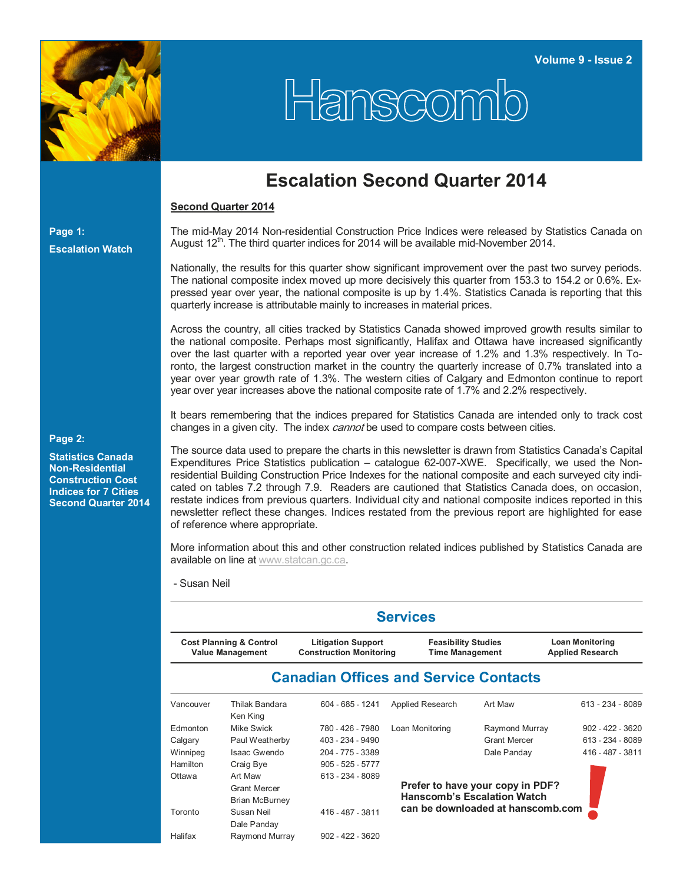

## Hanscomio

## **Escalation Second Quarter 2014**

## **Second Quarter 2014**

The mid-May 2014 Non-residential Construction Price Indices were released by Statistics Canada on August 12<sup>th</sup>. The third quarter indices for 2014 will be available mid-November 2014.

Nationally, the results for this quarter show significant improvement over the past two survey periods. The national composite index moved up more decisively this quarter from 153.3 to 154.2 or 0.6%. Expressed year over year, the national composite is up by 1.4%. Statistics Canada is reporting that this quarterly increase is attributable mainly to increases in material prices.

Across the country, all cities tracked by Statistics Canada showed improved growth results similar to the national composite. Perhaps most significantly, Halifax and Ottawa have increased significantly over the last quarter with a reported year over year increase of 1.2% and 1.3% respectively. In Toronto, the largest construction market in the country the quarterly increase of 0.7% translated into a year over year growth rate of 1.3%. The western cities of Calgary and Edmonton continue to report year over year increases above the national composite rate of 1.7% and 2.2% respectively.

It bears remembering that the indices prepared for Statistics Canada are intended only to track cost changes in a given city. The index *cannot* be used to compare costs between cities.

**Page 2:** 

**Page 1:** 

**Escalation Watch**

**Statistics Canada Non-Residential Construction Cost Indices for 7 Cities Second Quarter 2014**

The source data used to prepare the charts in this newsletter is drawn from Statistics Canada's Capital Expenditures Price Statistics publication – catalogue 62-007-XWE. Specifically, we used the Nonresidential Building Construction Price Indexes for the national composite and each surveyed city indicated on tables 7.2 through 7.9. Readers are cautioned that Statistics Canada does, on occasion, restate indices from previous quarters. Individual city and national composite indices reported in this newsletter reflect these changes. Indices restated from the previous report are highlighted for ease of reference where appropriate.

More information about this and other construction related indices published by Statistics Canada are available on line at www.statcan.gc.ca.

- Susan Neil

|           | <b>Services</b>                                               |                                                      |                                                   |                                    |                    |  |  |  |  |  |  |  |  |
|-----------|---------------------------------------------------------------|------------------------------------------------------|---------------------------------------------------|------------------------------------|--------------------|--|--|--|--|--|--|--|--|
|           | <b>Cost Planning &amp; Control</b><br><b>Value Management</b> | <b>Feasibility Studies</b><br><b>Time Management</b> | <b>Loan Monitoring</b><br><b>Applied Research</b> |                                    |                    |  |  |  |  |  |  |  |  |
|           |                                                               | <b>Canadian Offices and Service Contacts</b>         |                                                   |                                    |                    |  |  |  |  |  |  |  |  |
| Vancouver | Thilak Bandara<br>Ken King                                    | 604 - 685 - 1241                                     | Applied Research                                  | Art Maw                            | 613 - 234 - 8089   |  |  |  |  |  |  |  |  |
| Edmonton  | Mike Swick                                                    | 780 - 426 - 7980                                     | Loan Monitoring                                   | Raymond Murray                     | $902 - 422 - 3620$ |  |  |  |  |  |  |  |  |
| Calgary   | Paul Weatherby                                                | 403 - 234 - 9490                                     |                                                   | <b>Grant Mercer</b>                | 613 - 234 - 8089   |  |  |  |  |  |  |  |  |
| Winnipeg  | Isaac Gwendo                                                  | 204 - 775 - 3389                                     |                                                   | Dale Panday                        | 416 - 487 - 3811   |  |  |  |  |  |  |  |  |
| Hamilton  | Craig Bye                                                     | $905 - 525 - 5777$                                   |                                                   |                                    |                    |  |  |  |  |  |  |  |  |
| Ottawa    | Art Maw                                                       | 613 - 234 - 8089                                     |                                                   |                                    |                    |  |  |  |  |  |  |  |  |
|           | <b>Grant Mercer</b>                                           |                                                      |                                                   | Prefer to have your copy in PDF?   |                    |  |  |  |  |  |  |  |  |
|           | <b>Brian McBurney</b>                                         |                                                      |                                                   | <b>Hanscomb's Escalation Watch</b> |                    |  |  |  |  |  |  |  |  |
| Toronto   | Susan Neil                                                    | 416 - 487 - 3811                                     |                                                   | can be downloaded at hanscomb.com  |                    |  |  |  |  |  |  |  |  |
|           | Dale Panday                                                   |                                                      |                                                   |                                    |                    |  |  |  |  |  |  |  |  |
| Halifax   | Raymond Murray                                                | $902 - 422 - 3620$                                   |                                                   |                                    |                    |  |  |  |  |  |  |  |  |